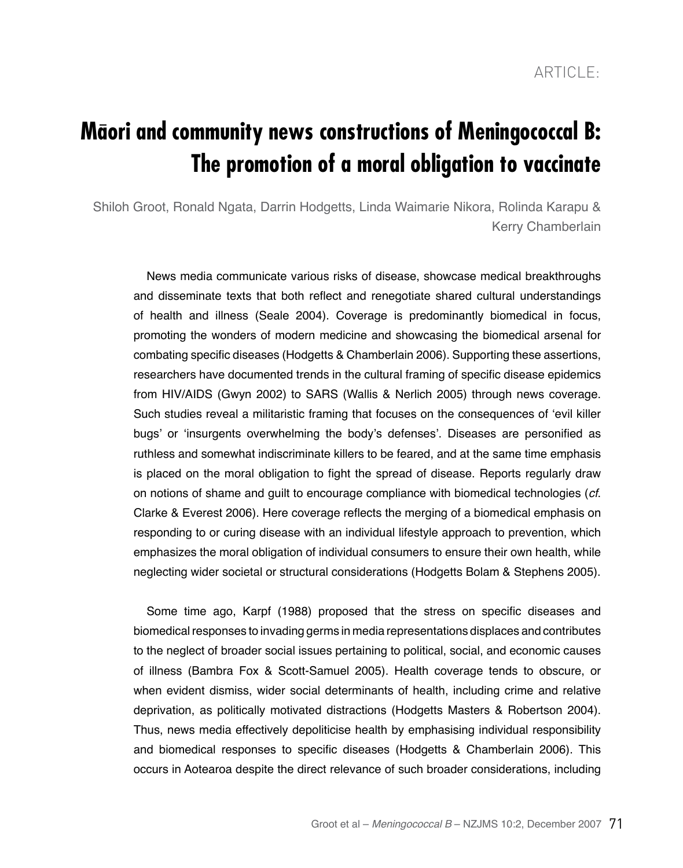# **Maori and community news constructions of Meningococcal B: The promotion of a moral obligation to vaccinate**

Shiloh Groot, Ronald Ngata, Darrin Hodgetts, Linda Waimarie Nikora, Rolinda Karapu & Kerry Chamberlain

News media communicate various risks of disease, showcase medical breakthroughs and disseminate texts that both reflect and renegotiate shared cultural understandings of health and illness (Seale 2004). Coverage is predominantly biomedical in focus, promoting the wonders of modern medicine and showcasing the biomedical arsenal for combating specific diseases (Hodgetts & Chamberlain 2006). Supporting these assertions, researchers have documented trends in the cultural framing of specific disease epidemics from HIV/AIDS (Gwyn 2002) to SARS (Wallis & Nerlich 2005) through news coverage. Such studies reveal a militaristic framing that focuses on the consequences of 'evil killer bugs' or 'insurgents overwhelming the body's defenses'. Diseases are personified as ruthless and somewhat indiscriminate killers to be feared, and at the same time emphasis is placed on the moral obligation to fight the spread of disease. Reports regularly draw on notions of shame and guilt to encourage compliance with biomedical technologies (*cf*. Clarke & Everest 2006). Here coverage reflects the merging of a biomedical emphasis on responding to or curing disease with an individual lifestyle approach to prevention, which emphasizes the moral obligation of individual consumers to ensure their own health, while neglecting wider societal or structural considerations (Hodgetts Bolam & Stephens 2005).

Some time ago, Karpf (1988) proposed that the stress on specific diseases and biomedical responses to invading germs in media representations displaces and contributes to the neglect of broader social issues pertaining to political, social, and economic causes of illness (Bambra Fox & Scott-Samuel 2005). Health coverage tends to obscure, or when evident dismiss, wider social determinants of health, including crime and relative deprivation, as politically motivated distractions (Hodgetts Masters & Robertson 2004). Thus, news media effectively depoliticise health by emphasising individual responsibility and biomedical responses to specific diseases (Hodgetts & Chamberlain 2006). This occurs in Aotearoa despite the direct relevance of such broader considerations, including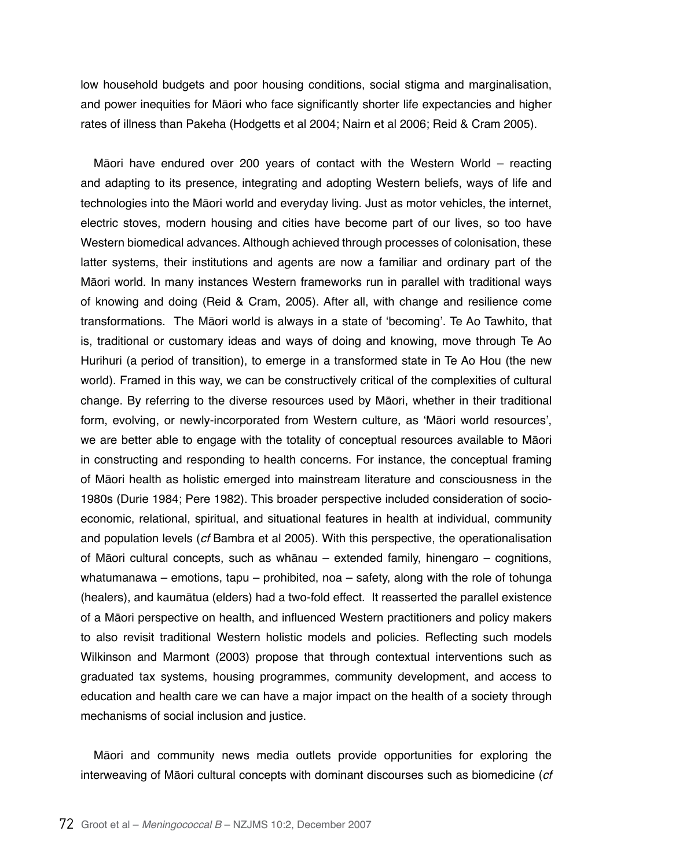low household budgets and poor housing conditions, social stigma and marginalisation, and power inequities for Māori who face significantly shorter life expectancies and higher rates of illness than Pakeha (Hodgetts et al 2004; Nairn et al 2006; Reid & Cram 2005).

Māori have endured over 200 years of contact with the Western World – reacting and adapting to its presence, integrating and adopting Western beliefs, ways of life and technologies into the Māori world and everyday living. Just as motor vehicles, the internet, electric stoves, modern housing and cities have become part of our lives, so too have Western biomedical advances. Although achieved through processes of colonisation, these latter systems, their institutions and agents are now a familiar and ordinary part of the Māori world. In many instances Western frameworks run in parallel with traditional ways of knowing and doing (Reid & Cram, 2005). After all, with change and resilience come transformations. The Māori world is always in a state of 'becoming'. Te Ao Tawhito, that is, traditional or customary ideas and ways of doing and knowing, move through Te Ao Hurihuri (a period of transition), to emerge in a transformed state in Te Ao Hou (the new world). Framed in this way, we can be constructively critical of the complexities of cultural change. By referring to the diverse resources used by Māori, whether in their traditional form, evolving, or newly-incorporated from Western culture, as 'Māori world resources', we are better able to engage with the totality of conceptual resources available to Māori in constructing and responding to health concerns. For instance, the conceptual framing of Māori health as holistic emerged into mainstream literature and consciousness in the 1980s (Durie 1984; Pere 1982). This broader perspective included consideration of socioeconomic, relational, spiritual, and situational features in health at individual, community and population levels (*cf* Bambra et al 2005). With this perspective, the operationalisation of Māori cultural concepts, such as whānau – extended family, hinengaro – cognitions, whatumanawa – emotions, tapu – prohibited, noa – safety, along with the role of tohunga (healers), and kaumātua (elders) had a two-fold effect. It reasserted the parallel existence of a Māori perspective on health, and influenced Western practitioners and policy makers to also revisit traditional Western holistic models and policies. Reflecting such models Wilkinson and Marmont (2003) propose that through contextual interventions such as graduated tax systems, housing programmes, community development, and access to education and health care we can have a major impact on the health of a society through mechanisms of social inclusion and justice.

Māori and community news media outlets provide opportunities for exploring the interweaving of Māori cultural concepts with dominant discourses such as biomedicine (*cf*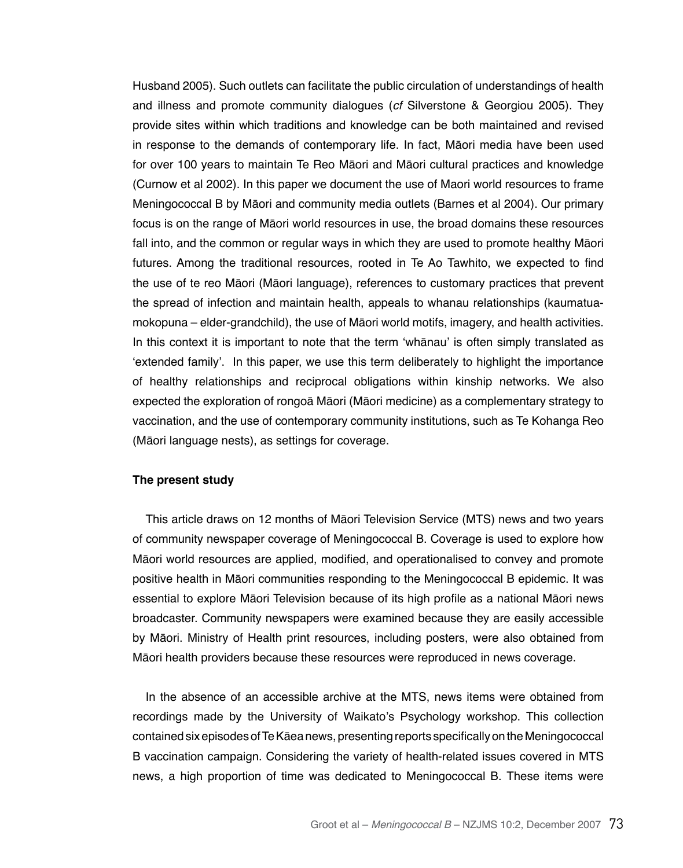Husband 2005). Such outlets can facilitate the public circulation of understandings of health and illness and promote community dialogues (*cf* Silverstone & Georgiou 2005). They provide sites within which traditions and knowledge can be both maintained and revised in response to the demands of contemporary life. In fact, Māori media have been used for over 100 years to maintain Te Reo Māori and Māori cultural practices and knowledge (Curnow et al 2002). In this paper we document the use of Maori world resources to frame Meningococcal B by Māori and community media outlets (Barnes et al 2004). Our primary focus is on the range of Māori world resources in use, the broad domains these resources fall into, and the common or regular ways in which they are used to promote healthy Māori futures. Among the traditional resources, rooted in Te Ao Tawhito, we expected to find the use of te reo Māori (Māori language), references to customary practices that prevent the spread of infection and maintain health, appeals to whanau relationships (kaumatuamokopuna – elder-grandchild), the use of Māori world motifs, imagery, and health activities. In this context it is important to note that the term 'whānau' is often simply translated as 'extended family'. In this paper, we use this term deliberately to highlight the importance of healthy relationships and reciprocal obligations within kinship networks. We also expected the exploration of rongoā Māori (Māori medicine) as a complementary strategy to vaccination, and the use of contemporary community institutions, such as Te Kohanga Reo (Māori language nests), as settings for coverage.

#### **The present study**

This article draws on 12 months of Māori Television Service (MTS) news and two years of community newspaper coverage of Meningococcal B. Coverage is used to explore how Māori world resources are applied, modified, and operationalised to convey and promote positive health in Māori communities responding to the Meningococcal B epidemic. It was essential to explore Māori Television because of its high profile as a national Māori news broadcaster. Community newspapers were examined because they are easily accessible by Māori. Ministry of Health print resources, including posters, were also obtained from Māori health providers because these resources were reproduced in news coverage.

In the absence of an accessible archive at the MTS, news items were obtained from recordings made by the University of Waikato's Psychology workshop. This collection contained six episodes of Te Kāea news, presenting reports specifically on the Meningococcal B vaccination campaign. Considering the variety of health-related issues covered in MTS news, a high proportion of time was dedicated to Meningococcal B. These items were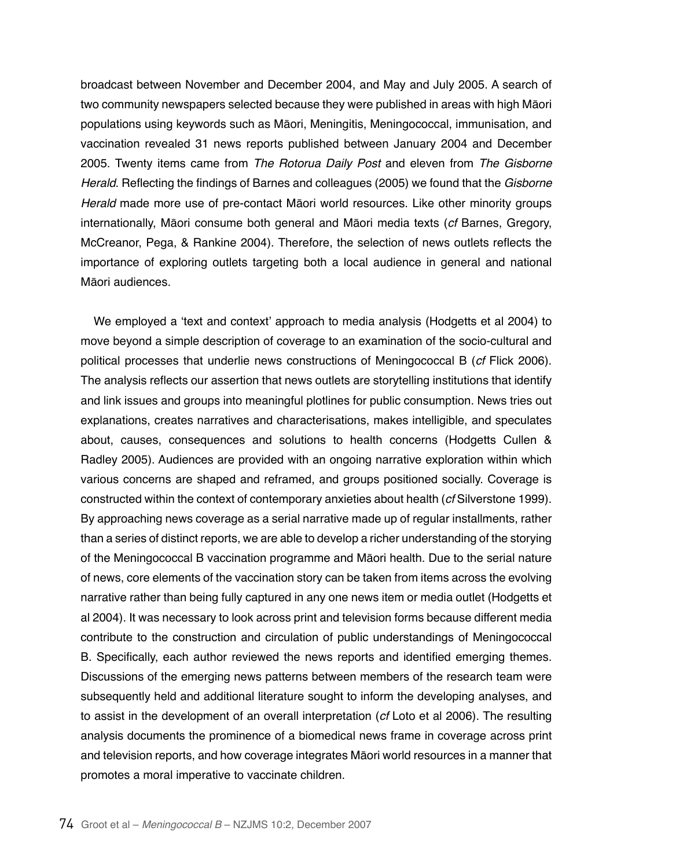broadcast between November and December 2004, and May and July 2005. A search of two community newspapers selected because they were published in areas with high Māori populations using keywords such as Māori, Meningitis, Meningococcal, immunisation, and vaccination revealed 31 news reports published between January 2004 and December 2005. Twenty items came from The Rotorua Daily Post and eleven from The Gisborne *Herald*. Reflecting the findings of Barnes and colleagues (2005) we found that the Gisborne *Herald* made more use of pre-contact Māori world resources. Like other minority groups internationally, Māori consume both general and Māori media texts (*cf* Barnes, Gregory, McCreanor, Pega, & Rankine 2004). Therefore, the selection of news outlets reflects the importance of exploring outlets targeting both a local audience in general and national Māori audiences.

We employed a 'text and context' approach to media analysis (Hodgetts et al 2004) to move beyond a simple description of coverage to an examination of the socio-cultural and political processes that underlie news constructions of Meningococcal B (*cf* Flick 2006). The analysis reflects our assertion that news outlets are storytelling institutions that identify and link issues and groups into meaningful plotlines for public consumption. News tries out explanations, creates narratives and characterisations, makes intelligible, and speculates about, causes, consequences and solutions to health concerns (Hodgetts Cullen & Radley 2005). Audiences are provided with an ongoing narrative exploration within which various concerns are shaped and reframed, and groups positioned socially. Coverage is constructed within the context of contemporary anxieties about health (*cf* Silverstone 1999). By approaching news coverage as a serial narrative made up of regular installments, rather than a series of distinct reports, we are able to develop a richer understanding of the storying of the Meningococcal B vaccination programme and Māori health. Due to the serial nature of news, core elements of the vaccination story can be taken from items across the evolving narrative rather than being fully captured in any one news item or media outlet (Hodgetts et al 2004). It was necessary to look across print and television forms because different media contribute to the construction and circulation of public understandings of Meningococcal B. Specifically, each author reviewed the news reports and identified emerging themes. Discussions of the emerging news patterns between members of the research team were subsequently held and additional literature sought to inform the developing analyses, and to assist in the development of an overall interpretation (*cf* Loto et al 2006). The resulting analysis documents the prominence of a biomedical news frame in coverage across print and television reports, and how coverage integrates Māori world resources in a manner that promotes a moral imperative to vaccinate children.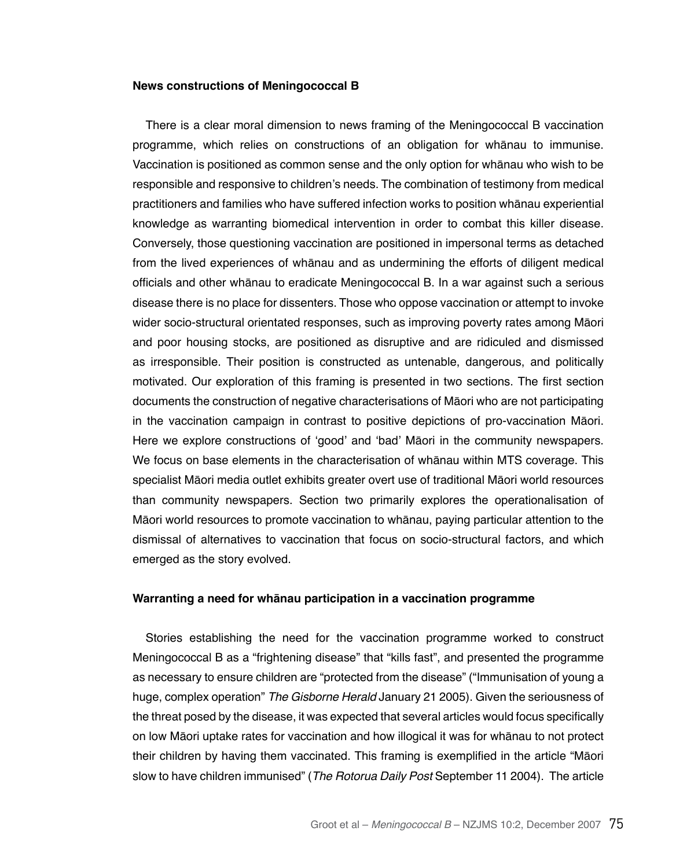### **News constructions of Meningococcal B**

There is a clear moral dimension to news framing of the Meningococcal B vaccination programme, which relies on constructions of an obligation for whānau to immunise. Vaccination is positioned as common sense and the only option for whānau who wish to be responsible and responsive to children's needs. The combination of testimony from medical practitioners and families who have suffered infection works to position whānau experiential knowledge as warranting biomedical intervention in order to combat this killer disease. Conversely, those questioning vaccination are positioned in impersonal terms as detached from the lived experiences of whānau and as undermining the efforts of diligent medical officials and other whānau to eradicate Meningococcal B. In a war against such a serious disease there is no place for dissenters. Those who oppose vaccination or attempt to invoke wider socio-structural orientated responses, such as improving poverty rates among Māori and poor housing stocks, are positioned as disruptive and are ridiculed and dismissed as irresponsible. Their position is constructed as untenable, dangerous, and politically motivated. Our exploration of this framing is presented in two sections. The first section documents the construction of negative characterisations of Māori who are not participating in the vaccination campaign in contrast to positive depictions of pro-vaccination Māori. Here we explore constructions of 'good' and 'bad' Māori in the community newspapers. We focus on base elements in the characterisation of whānau within MTS coverage. This specialist Māori media outlet exhibits greater overt use of traditional Māori world resources than community newspapers. Section two primarily explores the operationalisation of Māori world resources to promote vaccination to whānau, paying particular attention to the dismissal of alternatives to vaccination that focus on socio-structural factors, and which emerged as the story evolved.

#### **Warranting a need for whānau participation in a vaccination programme**

Stories establishing the need for the vaccination programme worked to construct Meningococcal B as a "frightening disease" that "kills fast", and presented the programme as necessary to ensure children are "protected from the disease" ("Immunisation of young a huge, complex operation" The Gisborne Herald January 21 2005). Given the seriousness of the threat posed by the disease, it was expected that several articles would focus specifically on low Māori uptake rates for vaccination and how illogical it was for whānau to not protect their children by having them vaccinated. This framing is exemplified in the article "Māori slow to have children immunised" (The Rotorua Daily Post September 11 2004). The article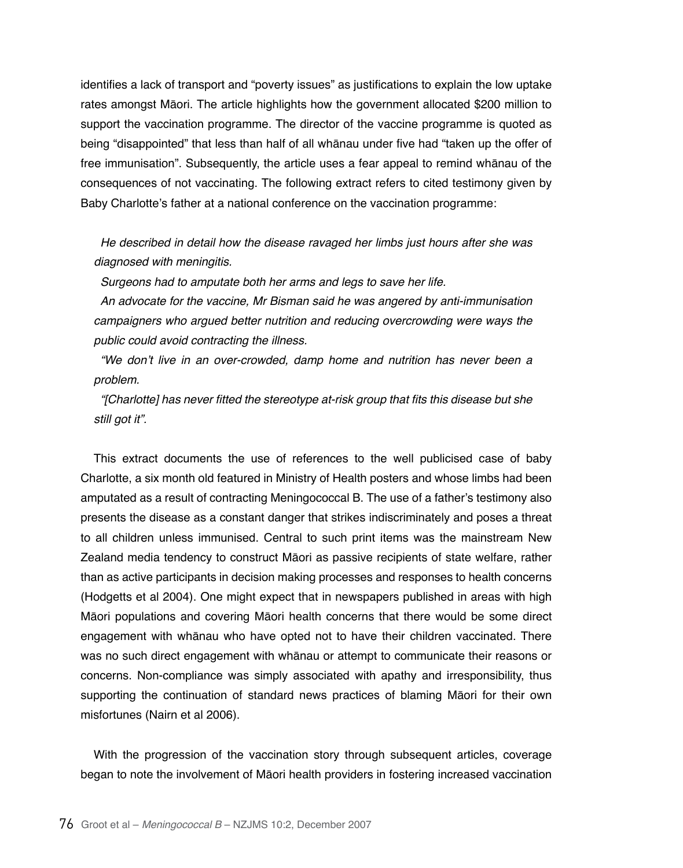identifies a lack of transport and "poverty issues" as justifications to explain the low uptake rates amongst Māori. The article highlights how the government allocated \$200 million to support the vaccination programme. The director of the vaccine programme is quoted as being "disappointed" that less than half of all whānau under five had "taken up the offer of free immunisation". Subsequently, the article uses a fear appeal to remind whānau of the consequences of not vaccinating. The following extract refers to cited testimony given by Baby Charlotte's father at a national conference on the vaccination programme:

He described in detail how the disease ravaged her limbs just hours after she was diagnosed with meningitis.

Surgeons had to amputate both her arms and legs to save her life.

An advocate for the vaccine, Mr Bisman said he was angered by anti-immunisation campaigners who argued better nutrition and reducing overcrowding were ways the public could avoid contracting the illness.

"We don't live in an over-crowded, damp home and nutrition has never been a problem.

"[Charlotte] has never fitted the stereotype at-risk group that fits this disease but she still got it".

This extract documents the use of references to the well publicised case of baby Charlotte, a six month old featured in Ministry of Health posters and whose limbs had been amputated as a result of contracting Meningococcal B. The use of a father's testimony also presents the disease as a constant danger that strikes indiscriminately and poses a threat to all children unless immunised. Central to such print items was the mainstream New Zealand media tendency to construct Māori as passive recipients of state welfare, rather than as active participants in decision making processes and responses to health concerns (Hodgetts et al 2004). One might expect that in newspapers published in areas with high Māori populations and covering Māori health concerns that there would be some direct engagement with whānau who have opted not to have their children vaccinated. There was no such direct engagement with whānau or attempt to communicate their reasons or concerns. Non-compliance was simply associated with apathy and irresponsibility, thus supporting the continuation of standard news practices of blaming Māori for their own misfortunes (Nairn et al 2006).

With the progression of the vaccination story through subsequent articles, coverage began to note the involvement of Māori health providers in fostering increased vaccination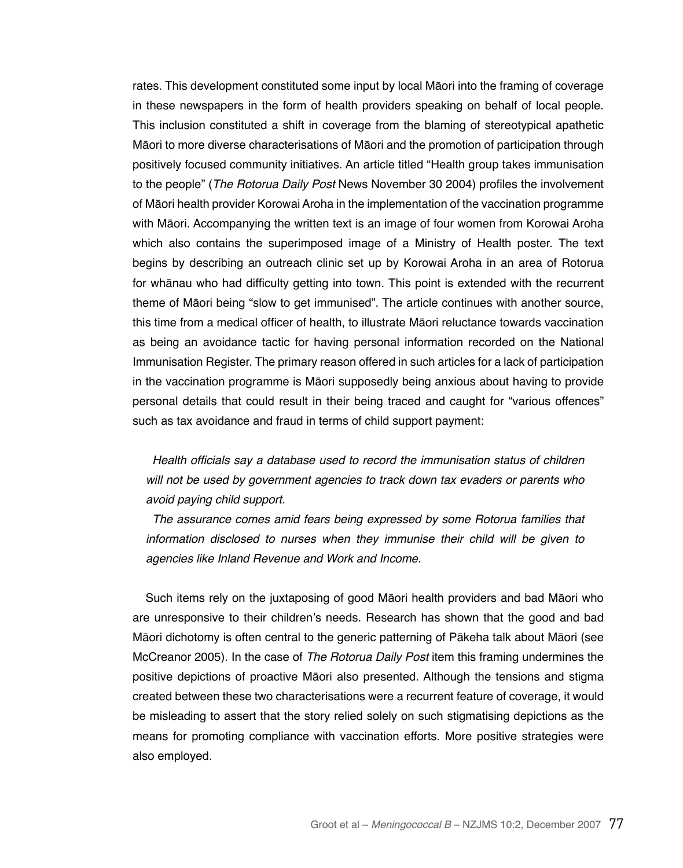rates. This development constituted some input by local Māori into the framing of coverage in these newspapers in the form of health providers speaking on behalf of local people. This inclusion constituted a shift in coverage from the blaming of stereotypical apathetic Māori to more diverse characterisations of Māori and the promotion of participation through positively focused community initiatives. An article titled "Health group takes immunisation to the people" (The Rotorua Daily Post News November 30 2004) profiles the involvement of Māori health provider Korowai Aroha in the implementation of the vaccination programme with Māori. Accompanying the written text is an image of four women from Korowai Aroha which also contains the superimposed image of a Ministry of Health poster. The text begins by describing an outreach clinic set up by Korowai Aroha in an area of Rotorua for whānau who had difficulty getting into town. This point is extended with the recurrent theme of Māori being "slow to get immunised". The article continues with another source, this time from a medical officer of health, to illustrate Māori reluctance towards vaccination as being an avoidance tactic for having personal information recorded on the National Immunisation Register. The primary reason offered in such articles for a lack of participation in the vaccination programme is Māori supposedly being anxious about having to provide personal details that could result in their being traced and caught for "various offences" such as tax avoidance and fraud in terms of child support payment:

Health officials say a database used to record the immunisation status of children will not be used by government agencies to track down tax evaders or parents who avoid paying child support.

The assurance comes amid fears being expressed by some Rotorua families that information disclosed to nurses when they immunise their child will be given to agencies like Inland Revenue and Work and Income.

Such items rely on the juxtaposing of good Māori health providers and bad Māori who are unresponsive to their children's needs. Research has shown that the good and bad Māori dichotomy is often central to the generic patterning of Pākeha talk about Māori (see McCreanor 2005). In the case of The Rotorua Daily Post item this framing undermines the positive depictions of proactive Māori also presented. Although the tensions and stigma created between these two characterisations were a recurrent feature of coverage, it would be misleading to assert that the story relied solely on such stigmatising depictions as the means for promoting compliance with vaccination efforts. More positive strategies were also employed.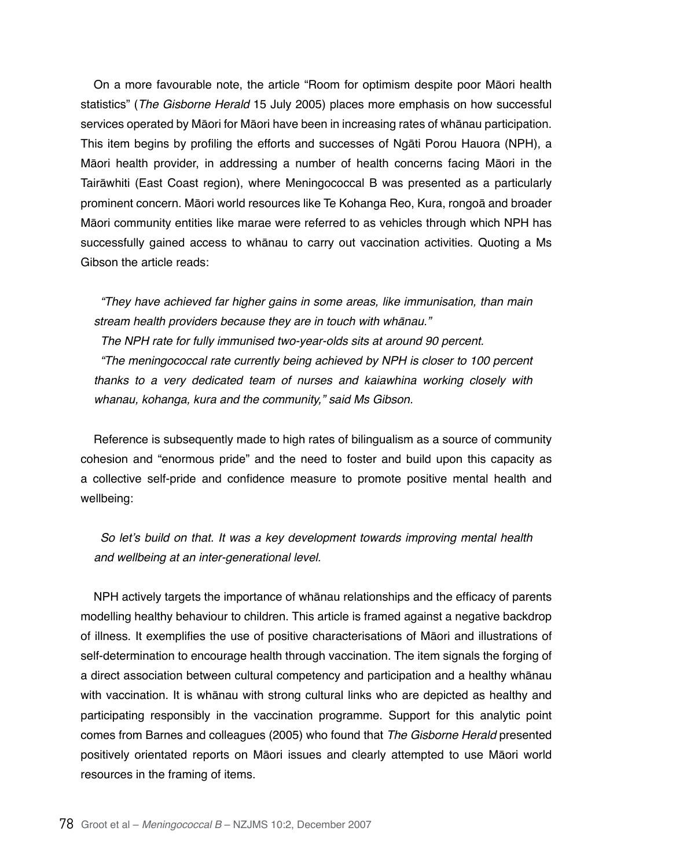On a more favourable note, the article "Room for optimism despite poor Māori health statistics" (The Gisborne Herald 15 July 2005) places more emphasis on how successful services operated by Māori for Māori have been in increasing rates of whānau participation. This item begins by profiling the efforts and successes of Ngāti Porou Hauora (NPH), a Māori health provider, in addressing a number of health concerns facing Māori in the Tairāwhiti (East Coast region), where Meningococcal B was presented as a particularly prominent concern. Māori world resources like Te Kohanga Reo, Kura, rongoā and broader Māori community entities like marae were referred to as vehicles through which NPH has successfully gained access to whānau to carry out vaccination activities. Quoting a Ms Gibson the article reads:

"They have achieved far higher gains in some areas, like immunisation, than main stream health providers because they are in touch with whānau." The NPH rate for fully immunised two-year-olds sits at around 90 percent. "The meningococcal rate currently being achieved by NPH is closer to 100 percent thanks to a very dedicated team of nurses and kaiawhina working closely with whanau, kohanga, kura and the community," said Ms Gibson.

Reference is subsequently made to high rates of bilingualism as a source of community cohesion and "enormous pride" and the need to foster and build upon this capacity as a collective self-pride and confidence measure to promote positive mental health and wellbeing:

So let's build on that. It was a key development towards improving mental health and wellbeing at an inter-generational level.

NPH actively targets the importance of whānau relationships and the efficacy of parents modelling healthy behaviour to children. This article is framed against a negative backdrop of illness. It exemplifies the use of positive characterisations of Māori and illustrations of self-determination to encourage health through vaccination. The item signals the forging of a direct association between cultural competency and participation and a healthy whānau with vaccination. It is whānau with strong cultural links who are depicted as healthy and participating responsibly in the vaccination programme. Support for this analytic point comes from Barnes and colleagues (2005) who found that The Gisborne Herald presented positively orientated reports on Māori issues and clearly attempted to use Māori world resources in the framing of items.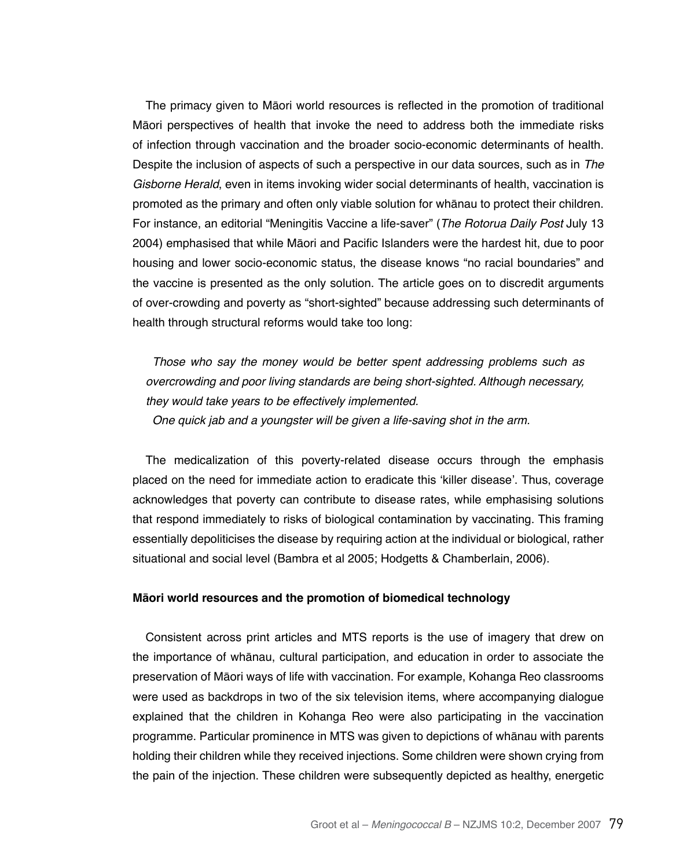The primacy given to Māori world resources is reflected in the promotion of traditional Māori perspectives of health that invoke the need to address both the immediate risks of infection through vaccination and the broader socio-economic determinants of health. Despite the inclusion of aspects of such a perspective in our data sources, such as in *The*  Gisborne Herald, even in items invoking wider social determinants of health, vaccination is promoted as the primary and often only viable solution for whānau to protect their children. For instance, an editorial "Meningitis Vaccine a life-saver" (The Rotorua Daily Post July 13 2004) emphasised that while Māori and Pacific Islanders were the hardest hit, due to poor housing and lower socio-economic status, the disease knows "no racial boundaries" and the vaccine is presented as the only solution. The article goes on to discredit arguments of over-crowding and poverty as "short-sighted" because addressing such determinants of health through structural reforms would take too long:

Those who say the money would be better spent addressing problems such as overcrowding and poor living standards are being short-sighted. Although necessary, they would take years to be effectively implemented. One quick jab and a youngster will be given a life-saving shot in the arm.

The medicalization of this poverty-related disease occurs through the emphasis placed on the need for immediate action to eradicate this 'killer disease'. Thus, coverage acknowledges that poverty can contribute to disease rates, while emphasising solutions that respond immediately to risks of biological contamination by vaccinating. This framing essentially depoliticises the disease by requiring action at the individual or biological, rather situational and social level (Bambra et al 2005; Hodgetts & Chamberlain, 2006).

#### **Māori world resources and the promotion of biomedical technology**

Consistent across print articles and MTS reports is the use of imagery that drew on the importance of whānau, cultural participation, and education in order to associate the preservation of Māori ways of life with vaccination. For example, Kohanga Reo classrooms were used as backdrops in two of the six television items, where accompanying dialogue explained that the children in Kohanga Reo were also participating in the vaccination programme. Particular prominence in MTS was given to depictions of whānau with parents holding their children while they received injections. Some children were shown crying from the pain of the injection. These children were subsequently depicted as healthy, energetic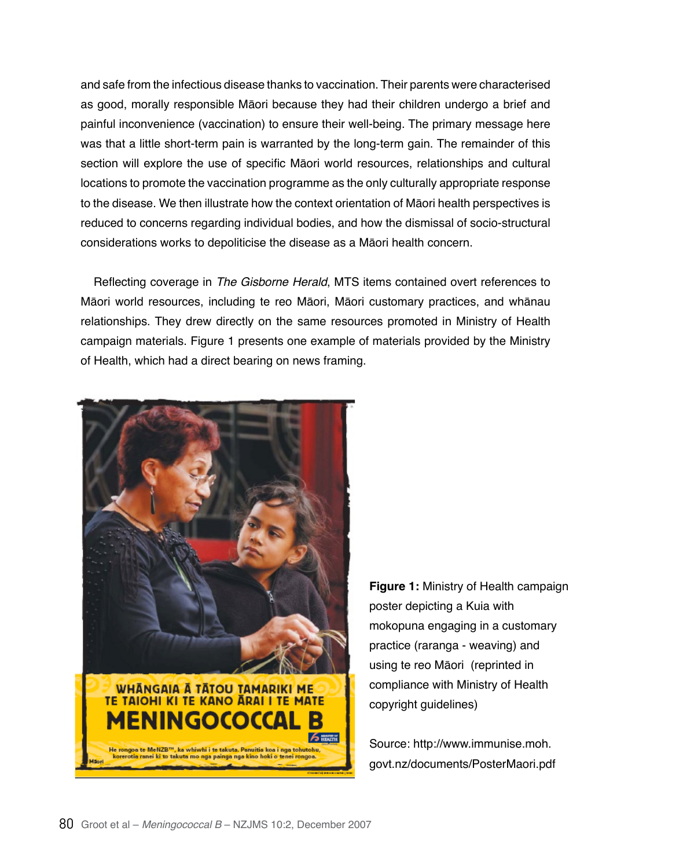and safe from the infectious disease thanks to vaccination. Their parents were characterised as good, morally responsible Māori because they had their children undergo a brief and painful inconvenience (vaccination) to ensure their well-being. The primary message here was that a little short-term pain is warranted by the long-term gain. The remainder of this section will explore the use of specific Māori world resources, relationships and cultural locations to promote the vaccination programme as the only culturally appropriate response to the disease. We then illustrate how the context orientation of Māori health perspectives is reduced to concerns regarding individual bodies, and how the dismissal of socio-structural considerations works to depoliticise the disease as a Māori health concern.

Reflecting coverage in The Gisborne Herald, MTS items contained overt references to Māori world resources, including te reo Māori, Māori customary practices, and whānau relationships. They drew directly on the same resources promoted in Ministry of Health campaign materials. Figure 1 presents one example of materials provided by the Ministry of Health, which had a direct bearing on news framing.



**Figure 1:** Ministry of Health campaign poster depicting a Kuia with mokopuna engaging in a customary practice (raranga - weaving) and using te reo Māori (reprinted in compliance with Ministry of Health copyright guidelines)

Source: http://www.immunise.moh. govt.nz/documents/PosterMaori.pdf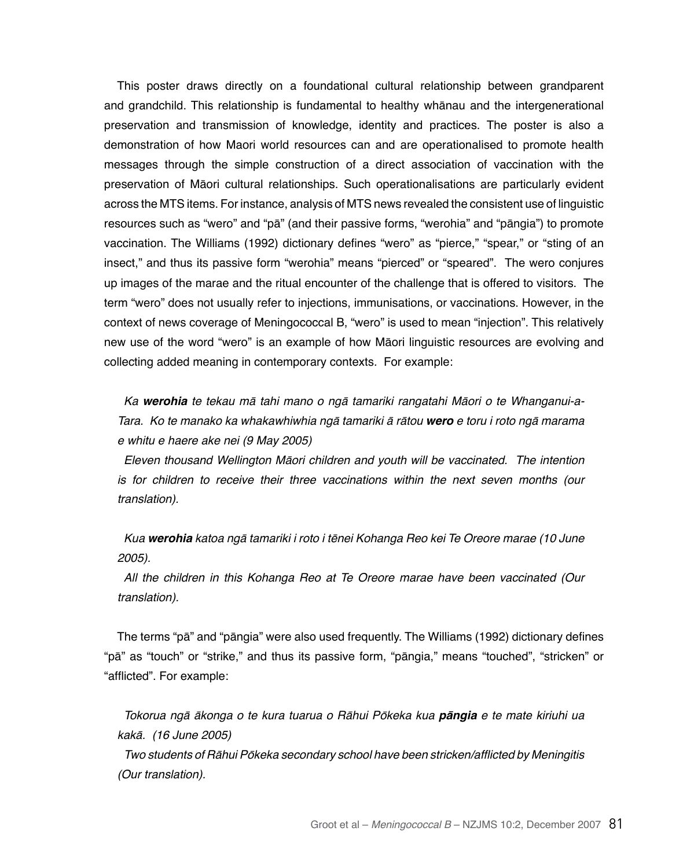This poster draws directly on a foundational cultural relationship between grandparent and grandchild. This relationship is fundamental to healthy whānau and the intergenerational preservation and transmission of knowledge, identity and practices. The poster is also a demonstration of how Maori world resources can and are operationalised to promote health messages through the simple construction of a direct association of vaccination with the preservation of Māori cultural relationships. Such operationalisations are particularly evident across the MTS items. For instance, analysis of MTS news revealed the consistent use of linguistic resources such as "wero" and "pā" (and their passive forms, "werohia" and "pāngia") to promote vaccination. The Williams (1992) dictionary defines "wero" as "pierce," "spear," or "sting of an insect," and thus its passive form "werohia" means "pierced" or "speared". The wero conjures up images of the marae and the ritual encounter of the challenge that is offered to visitors. The term "wero" does not usually refer to injections, immunisations, or vaccinations. However, in the context of news coverage of Meningococcal B, "wero" is used to mean "injection". This relatively new use of the word "wero" is an example of how Māori linguistic resources are evolving and collecting added meaning in contemporary contexts. For example:

*Ka werohia* te tekau mā tahi mano o ngā tamariki rangatahi Māori o te Whanganui-a-Tara. Ko te manako ka whakawhiwhia ngā tamariki ā rātou *wero* e toru i roto ngā marama e whitu e haere ake nei (9 May 2005)

Eleven thousand Wellington Māori children and youth will be vaccinated. The intention is for children to receive their three vaccinations within the next seven months (our translation).

*Kua werohia* katoa ngā tamariki i roto i tēnei Kohanga Reo kei Te Oreore marae (10 June 2005).

All the children in this Kohanga Reo at Te Oreore marae have been vaccinated (Our translation).

The terms "pā" and "pāngia" were also used frequently. The Williams (1992) dictionary defines "pā" as "touch" or "strike," and thus its passive form, "pāngia," means "touched", "stricken" or "afflicted". For example:

Tokorua ngā ākonga o te kura tuarua o Rāhui Pōkeka kua **pāngia** *e te mate kiriuhi ua*  kakā. (16 June 2005)

Two students of Rāhui Pōkeka secondary school have been stricken/afflicted by Meningitis (Our translation).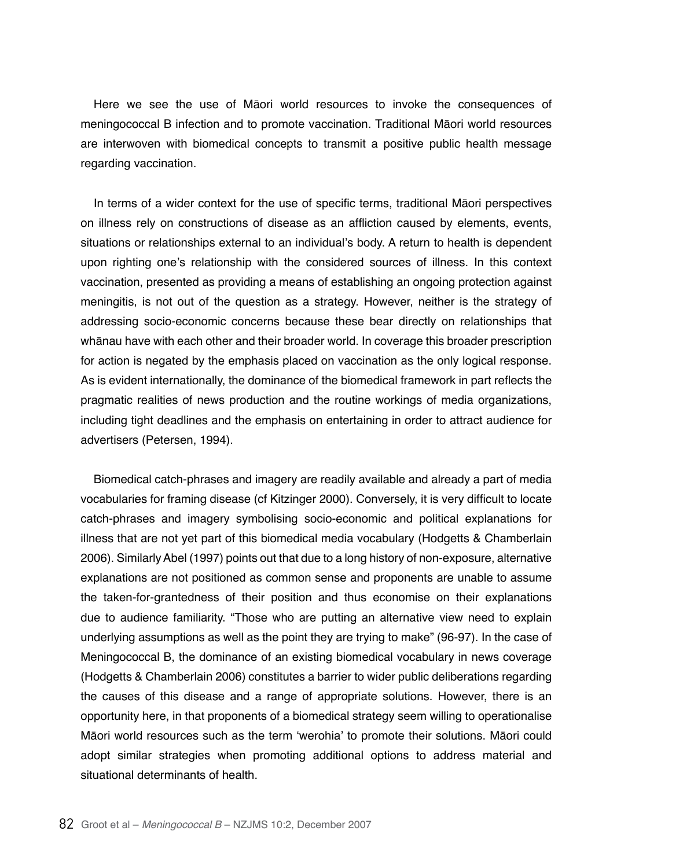Here we see the use of Māori world resources to invoke the consequences of meningococcal B infection and to promote vaccination. Traditional Māori world resources are interwoven with biomedical concepts to transmit a positive public health message regarding vaccination.

In terms of a wider context for the use of specific terms, traditional Māori perspectives on illness rely on constructions of disease as an affliction caused by elements, events, situations or relationships external to an individual's body. A return to health is dependent upon righting one's relationship with the considered sources of illness. In this context vaccination, presented as providing a means of establishing an ongoing protection against meningitis, is not out of the question as a strategy. However, neither is the strategy of addressing socio-economic concerns because these bear directly on relationships that whānau have with each other and their broader world. In coverage this broader prescription for action is negated by the emphasis placed on vaccination as the only logical response. As is evident internationally, the dominance of the biomedical framework in part reflects the pragmatic realities of news production and the routine workings of media organizations, including tight deadlines and the emphasis on entertaining in order to attract audience for advertisers (Petersen, 1994).

Biomedical catch-phrases and imagery are readily available and already a part of media vocabularies for framing disease (cf Kitzinger 2000). Conversely, it is very difficult to locate catch-phrases and imagery symbolising socio-economic and political explanations for illness that are not yet part of this biomedical media vocabulary (Hodgetts & Chamberlain 2006). Similarly Abel (1997) points out that due to a long history of non-exposure, alternative explanations are not positioned as common sense and proponents are unable to assume the taken-for-grantedness of their position and thus economise on their explanations due to audience familiarity. "Those who are putting an alternative view need to explain underlying assumptions as well as the point they are trying to make" (96-97). In the case of Meningococcal B, the dominance of an existing biomedical vocabulary in news coverage (Hodgetts & Chamberlain 2006) constitutes a barrier to wider public deliberations regarding the causes of this disease and a range of appropriate solutions. However, there is an opportunity here, in that proponents of a biomedical strategy seem willing to operationalise Māori world resources such as the term 'werohia' to promote their solutions. Māori could adopt similar strategies when promoting additional options to address material and situational determinants of health.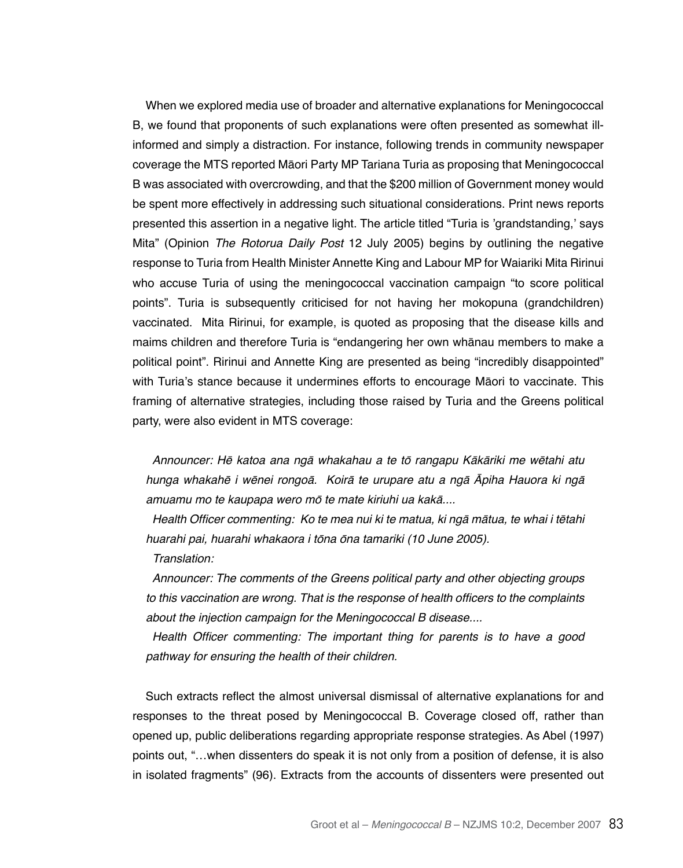When we explored media use of broader and alternative explanations for Meningococcal B, we found that proponents of such explanations were often presented as somewhat illinformed and simply a distraction. For instance, following trends in community newspaper coverage the MTS reported Māori Party MP Tariana Turia as proposing that Meningococcal B was associated with overcrowding, and that the \$200 million of Government money would be spent more effectively in addressing such situational considerations. Print news reports presented this assertion in a negative light. The article titled "Turia is 'grandstanding,' says Mita" (Opinion The Rotorua Daily Post 12 July 2005) begins by outlining the negative response to Turia from Health Minister Annette King and Labour MP for Waiariki Mita Ririnui who accuse Turia of using the meningococcal vaccination campaign "to score political points". Turia is subsequently criticised for not having her mokopuna (grandchildren) vaccinated. Mita Ririnui, for example, is quoted as proposing that the disease kills and maims children and therefore Turia is "endangering her own whānau members to make a political point". Ririnui and Annette King are presented as being "incredibly disappointed" with Turia's stance because it undermines efforts to encourage Māori to vaccinate. This framing of alternative strategies, including those raised by Turia and the Greens political party, were also evident in MTS coverage:

Announcer: Hē katoa ana ngā whakahau a te tō rangapu Kākāriki me wētahi atu hunga whakahē i wēnei rongoā. Koirā te urupare atu a ngā Āpiha Hauora ki ngā amuamu mo te kaupapa wero mō te mate kiriuhi ua kakā....

Health Officer commenting: Ko te mea nui ki te matua, ki ngā mātua, te whai i tētahi huarahi pai, huarahi whakaora i tōna ōna tamariki (10 June 2005).

Translation:

Announcer: The comments of the Greens political party and other objecting groups to this vaccination are wrong. That is the response of health officers to the complaints about the injection campaign for the Meningococcal B disease....

Health Officer commenting: The important thing for parents is to have a good pathway for ensuring the health of their children.

Such extracts reflect the almost universal dismissal of alternative explanations for and responses to the threat posed by Meningococcal B. Coverage closed off, rather than opened up, public deliberations regarding appropriate response strategies. As Abel (1997) points out, "…when dissenters do speak it is not only from a position of defense, it is also in isolated fragments" (96). Extracts from the accounts of dissenters were presented out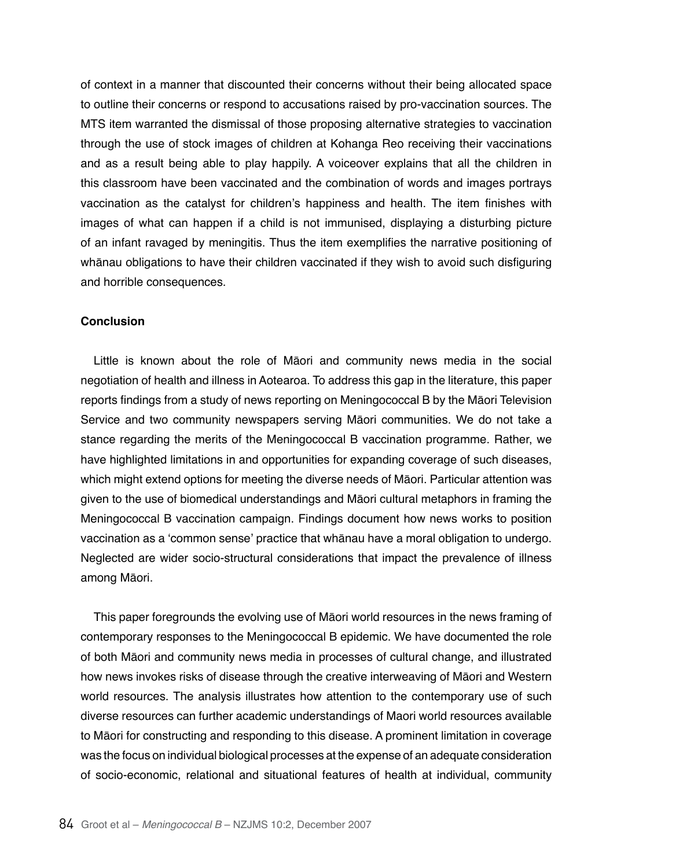of context in a manner that discounted their concerns without their being allocated space to outline their concerns or respond to accusations raised by pro-vaccination sources. The MTS item warranted the dismissal of those proposing alternative strategies to vaccination through the use of stock images of children at Kohanga Reo receiving their vaccinations and as a result being able to play happily. A voiceover explains that all the children in this classroom have been vaccinated and the combination of words and images portrays vaccination as the catalyst for children's happiness and health. The item finishes with images of what can happen if a child is not immunised, displaying a disturbing picture of an infant ravaged by meningitis. Thus the item exemplifies the narrative positioning of whānau obligations to have their children vaccinated if they wish to avoid such disfiguring and horrible consequences.

#### **Conclusion**

Little is known about the role of Māori and community news media in the social negotiation of health and illness in Aotearoa. To address this gap in the literature, this paper reports findings from a study of news reporting on Meningococcal B by the Māori Television Service and two community newspapers serving Māori communities. We do not take a stance regarding the merits of the Meningococcal B vaccination programme. Rather, we have highlighted limitations in and opportunities for expanding coverage of such diseases, which might extend options for meeting the diverse needs of Māori. Particular attention was given to the use of biomedical understandings and Māori cultural metaphors in framing the Meningococcal B vaccination campaign. Findings document how news works to position vaccination as a 'common sense' practice that whānau have a moral obligation to undergo. Neglected are wider socio-structural considerations that impact the prevalence of illness among Māori.

This paper foregrounds the evolving use of Māori world resources in the news framing of contemporary responses to the Meningococcal B epidemic. We have documented the role of both Māori and community news media in processes of cultural change, and illustrated how news invokes risks of disease through the creative interweaving of Māori and Western world resources. The analysis illustrates how attention to the contemporary use of such diverse resources can further academic understandings of Maori world resources available to Māori for constructing and responding to this disease. A prominent limitation in coverage was the focus on individual biological processes at the expense of an adequate consideration of socio-economic, relational and situational features of health at individual, community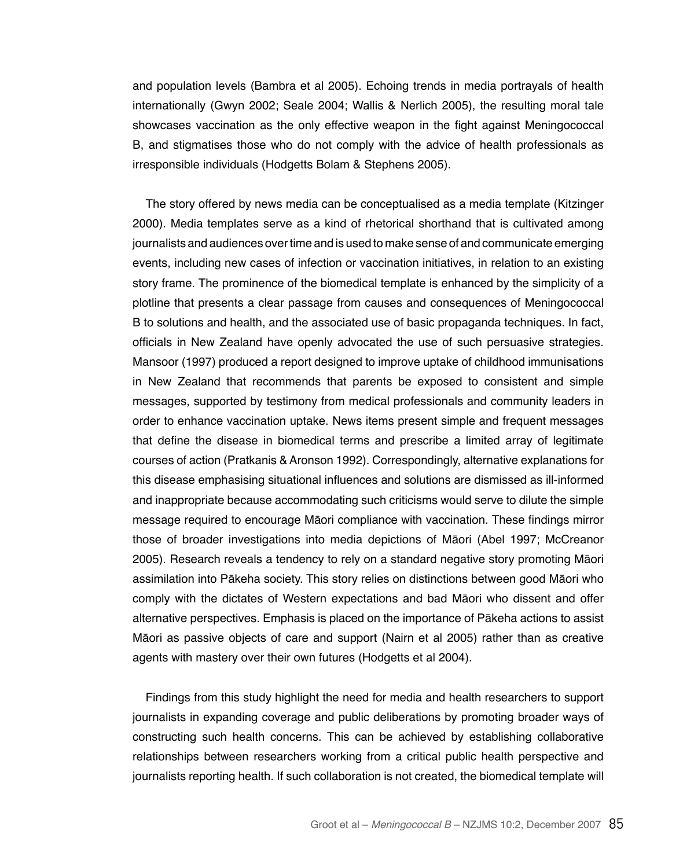and population levels (Bambra et al 2005). Echoing trends in media portrayals of health internationally (Gwyn 2002; Seale 2004; Wallis & Nerlich 2005), the resulting moral tale showcases vaccination as the only effective weapon in the fight against Meningococcal B, and stigmatises those who do not comply with the advice of health professionals as irresponsible individuals (Hodgetts Bolam & Stephens 2005).

The story offered by news media can be conceptualised as a media template (Kitzinger 2000). Media templates serve as a kind of rhetorical shorthand that is cultivated among journalists and audiences over time and is used to make sense of and communicate emerging events, including new cases of infection or vaccination initiatives, in relation to an existing story frame. The prominence of the biomedical template is enhanced by the simplicity of a plotline that presents a clear passage from causes and consequences of Meningococcal B to solutions and health, and the associated use of basic propaganda techniques. In fact, officials in New Zealand have openly advocated the use of such persuasive strategies. Mansoor (1997) produced a report designed to improve uptake of childhood immunisations in New Zealand that recommends that parents be exposed to consistent and simple messages, supported by testimony from medical professionals and community leaders in order to enhance vaccination uptake. News items present simple and frequent messages that define the disease in biomedical terms and prescribe a limited array of legitimate courses of action (Pratkanis & Aronson 1992). Correspondingly, alternative explanations for this disease emphasising situational influences and solutions are dismissed as ill-informed and inappropriate because accommodating such criticisms would serve to dilute the simple message required to encourage Māori compliance with vaccination. These findings mirror those of broader investigations into media depictions of Māori (Abel 1997; McCreanor 2005). Research reveals a tendency to rely on a standard negative story promoting Māori assimilation into Pākeha society. This story relies on distinctions between good Māori who comply with the dictates of Western expectations and bad Māori who dissent and offer alternative perspectives. Emphasis is placed on the importance of Pākeha actions to assist Māori as passive objects of care and support (Nairn et al 2005) rather than as creative agents with mastery over their own futures (Hodgetts et al 2004).

Findings from this study highlight the need for media and health researchers to support journalists in expanding coverage and public deliberations by promoting broader ways of constructing such health concerns. This can be achieved by establishing collaborative relationships between researchers working from a critical public health perspective and journalists reporting health. If such collaboration is not created, the biomedical template will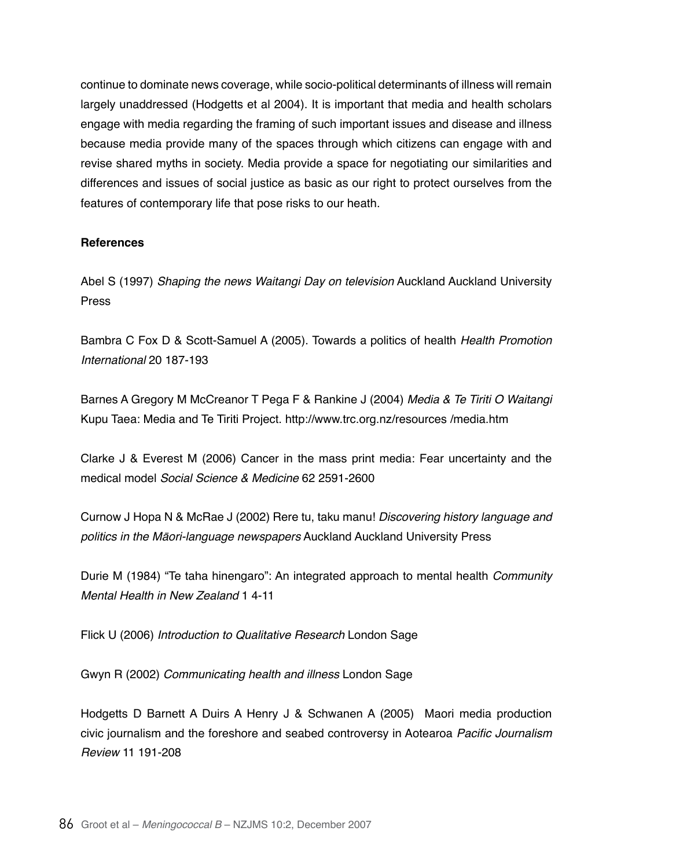continue to dominate news coverage, while socio-political determinants of illness will remain largely unaddressed (Hodgetts et al 2004). It is important that media and health scholars engage with media regarding the framing of such important issues and disease and illness because media provide many of the spaces through which citizens can engage with and revise shared myths in society. Media provide a space for negotiating our similarities and differences and issues of social justice as basic as our right to protect ourselves from the features of contemporary life that pose risks to our heath.

## **References**

Abel S (1997) Shaping the news Waitangi Day on television Auckland Auckland University Press

Bambra C Fox D & Scott-Samuel A (2005). Towards a politics of health Health Promotion International 20 187-193

Barnes A Gregory M McCreanor T Pega F & Rankine J (2004) Media & Te Tiriti O Waitangi Kupu Taea: Media and Te Tiriti Project. http://www.trc.org.nz/resources /media.htm

Clarke J & Everest M (2006) Cancer in the mass print media: Fear uncertainty and the medical model *Social Science & Medicine* 62 2591-2600

Curnow J Hopa N & McRae J (2002) Rere tu, taku manu! Discovering history language and politics in the Māori-language newspapers Auckland Auckland University Press

Durie M (1984) "Te taha hinengaro": An integrated approach to mental health *Community Mental Health in New Zealand* 1 4-11

Flick U (2006) Introduction to Qualitative Research London Sage

Gwyn R (2002) Communicating health and illness London Sage

Hodgetts D Barnett A Duirs A Henry J & Schwanen A (2005) Maori media production civic journalism and the foreshore and seabed controversy in Aotearoa Pacific Journalism Review 11 191-208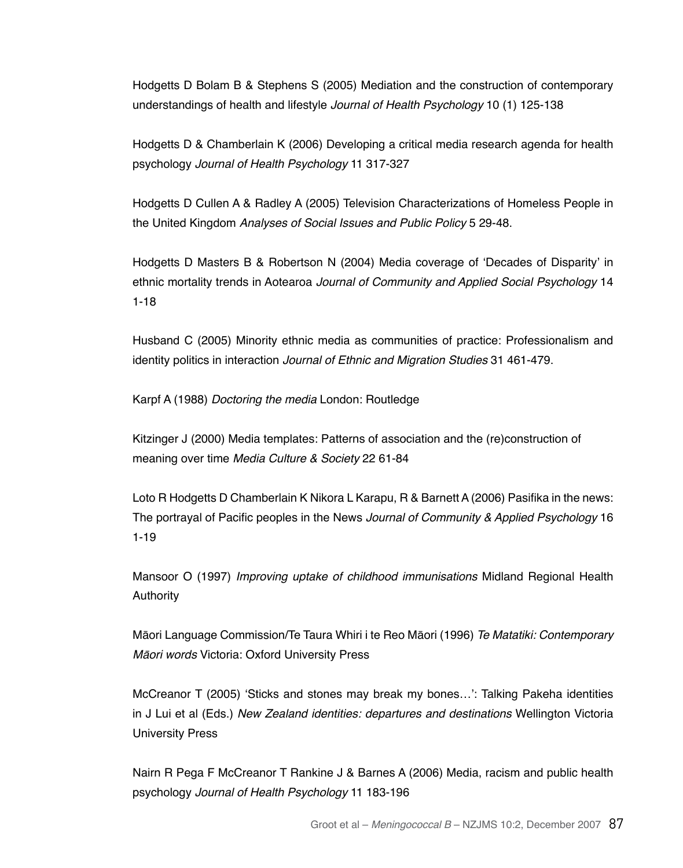Hodgetts D Bolam B & Stephens S (2005) Mediation and the construction of contemporary understandings of health and lifestyle Journal of Health Psychology 10 (1) 125-138

Hodgetts D & Chamberlain K (2006) Developing a critical media research agenda for health psychology Journal of Health Psychology 11 317-327

Hodgetts D Cullen A & Radley A (2005) Television Characterizations of Homeless People in the United Kingdom Analyses of Social Issues and Public Policy 5 29-48.

Hodgetts D Masters B & Robertson N (2004) Media coverage of 'Decades of Disparity' in ethnic mortality trends in Aotearoa Journal of Community and Applied Social Psychology 14 1-18

Husband C (2005) Minority ethnic media as communities of practice: Professionalism and identity politics in interaction Journal of Ethnic and Migration Studies 31 461-479.

Karpf A (1988) Doctoring the media London: Routledge

Kitzinger J (2000) Media templates: Patterns of association and the (re)construction of meaning over time Media Culture & Society 22 61-84

Loto R Hodgetts D Chamberlain K Nikora L Karapu, R & Barnett A (2006) Pasifika in the news: The portrayal of Pacific peoples in the News Journal of Community & Applied Psychology 16 1-19

Mansoor O (1997) Improving uptake of childhood immunisations Midland Regional Health Authority

Māori Language Commission/Te Taura Whiri i te Reo Māori (1996) Te Matatiki: Contemporary Māori words Victoria: Oxford University Press

McCreanor T (2005) 'Sticks and stones may break my bones…': Talking Pakeha identities in J Lui et al (Eds.) New Zealand identities: departures and destinations Wellington Victoria University Press

Nairn R Pega F McCreanor T Rankine J & Barnes A (2006) Media, racism and public health psychology Journal of Health Psychology 11 183-196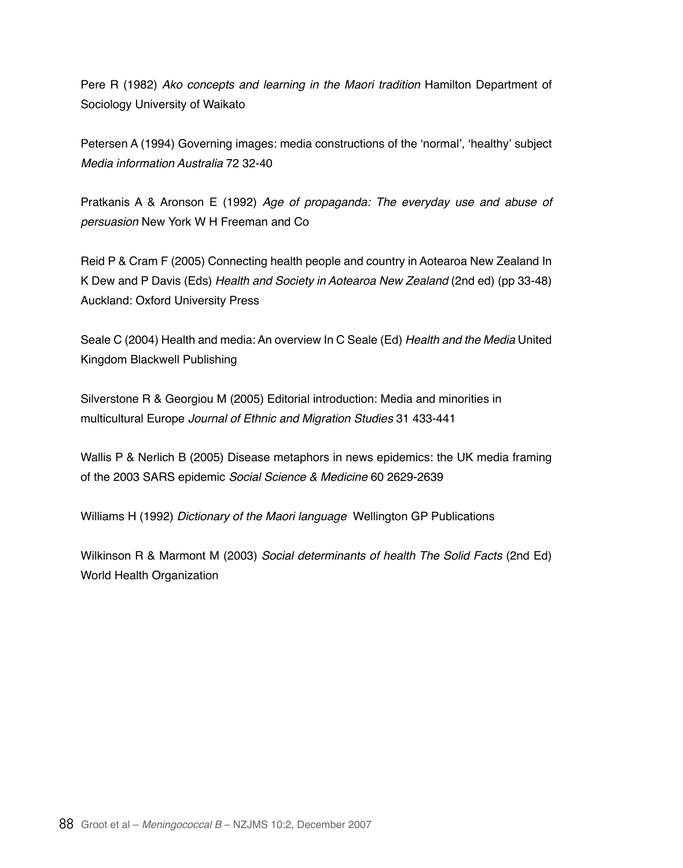Pere R (1982) Ako concepts and learning in the Maori tradition Hamilton Department of Sociology University of Waikato

Petersen A (1994) Governing images: media constructions of the 'normal', 'healthy' subject Media information Australia 72 32-40

Pratkanis A & Aronson E (1992) Age of propaganda: The everyday use and abuse of *persuasion* New York W H Freeman and Co

Reid P & Cram F (2005) Connecting health people and country in Aotearoa New Zealand In K Dew and P Davis (Eds) Health and Society in Aotearoa New Zealand (2nd ed) (pp 33-48) Auckland: Oxford University Press

Seale C (2004) Health and media: An overview In C Seale (Ed) *Health and the Media* United Kingdom Blackwell Publishing

Silverstone R & Georgiou M (2005) Editorial introduction: Media and minorities in multicultural Europe Journal of Ethnic and Migration Studies 31 433-441

Wallis P & Nerlich B (2005) Disease metaphors in news epidemics: the UK media framing of the 2003 SARS epidemic *Social Science & Medicine* 60 2629-2639

Williams H (1992) Dictionary of the Maori language Wellington GP Publications

Wilkinson R & Marmont M (2003) *Social determinants of health The Solid Facts* (2nd Ed) World Health Organization